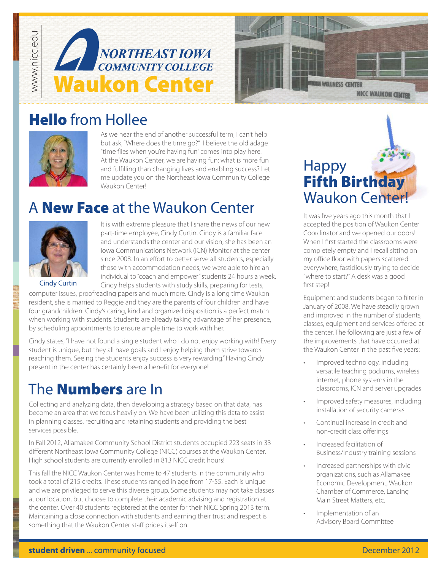



## Hello from Hollee



As we near the end of another successful term, I can't help but ask, "Where does the time go?" I believe the old adage "time flies when you're having fun" comes into play here. At the Waukon Center, we are having fun; what is more fun and fulfilling than changing lives and enabling success? Let me update you on the Northeast Iowa Community College Waukon Centerl

## A **New Face** at the Waukon Center



It is with extreme pleasure that I share the news of our new part-time employee, Cindy Curtin. Cindy is a familiar face and understands the center and our vision; she has been an Iowa Communications Network (ICN) Monitor at the center since 2008. In an effort to better serve all students, especially those with accommodation needs, we were able to hire an individual to "coach and empower" students 24 hours a week. Cindy helps students with study skills, preparing for tests,

Cindy Curtin

computer issues, proofreading papers and much more. Cindy is a long time Waukon resident, she is married to Reggie and they are the parents of four children and have four grandchildren. Cindy's caring, kind and organized disposition is a perfect match when working with students. Students are already taking advantage of her presence, by scheduling appointments to ensure ample time to work with her.

Cindy states, "I have not found a single student who I do not enjoy working with! Every student is unique, but they all have goals and I enjoy helping them strive towards reaching them. Seeing the students enjoy success is very rewarding." Having Cindy present in the center has certainly been a benefit for everyone!

## The **Numbers** are In

Collecting and analyzing data, then developing a strategy based on that data, has become an area that we focus heavily on. We have been utilizing this data to assist in planning classes, recruiting and retaining students and providing the best services possible.

In Fall 2012, Allamakee Community School District students occupied 223 seats in 33 different Northeast Iowa Community College (NICC) courses at the Waukon Center. High school students are currently enrolled in 813 NICC credit hours!

This fall the NICC Waukon Center was home to 47 students in the community who took a total of 215 credits. These students ranged in age from 17-55. Each is unique and we are privileged to serve this diverse group. Some students may not take classes at our location, but choose to complete their academic advising and registration at the center. Over 40 students registered at the center for their NICC Spring 2013 term. Maintaining a close connection with students and earning their trust and respect is something that the Waukon Center staff prides itself on.



It was five years ago this month that I accepted the position of Waukon Center Coordinator and we opened our doors! When I first started the classrooms were completely empty and I recall sitting on my office floor with papers scattered everywhere, fastidiously trying to decide "where to start?" A desk was a good first step!

Equipment and students began to filter in January of 2008. We have steadily grown and improved in the number of students, classes, equipment and services offered at the center. The following are just a few of the improvements that have occurred at the Waukon Center in the past five years:

- Improved technology, including versatile teaching podiums, wireless internet, phone systems in the classrooms, ICN and server upgrades
- Improved safety measures, including installation of security cameras
- Continual increase in credit and non-credit class offerings
- Increased facilitation of Business/Industry training sessions
- Increased partnerships with civic organizations, such as Allamakee Economic Development, Waukon Chamber of Commerce, Lansing Main Street Matters, etc.
- Implementation of an Advisory Board Committee